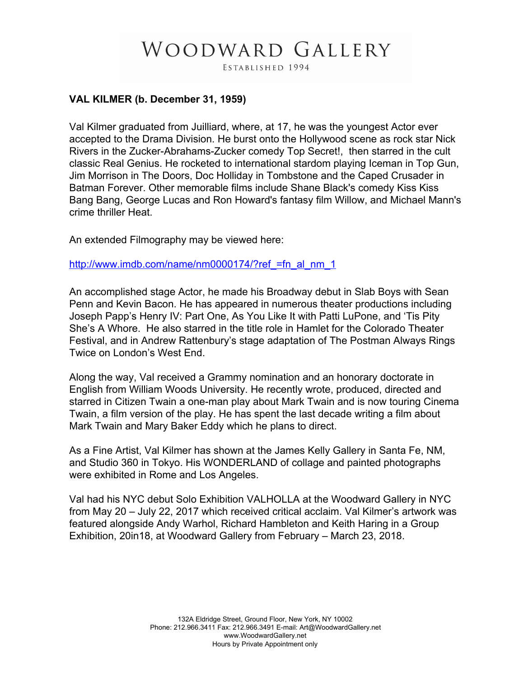## WOODWARD GALLERY

ESTABLISHED 1994

## **VAL KILMER (b. December 31, 1959)**

Val Kilmer graduated from Juilliard, where, at 17, he was the youngest Actor ever accepted to the Drama Division. He burst onto the Hollywood scene as rock star Nick Rivers in the Zucker-Abrahams-Zucker comedy Top Secret!, then starred in the cult classic Real Genius. He rocketed to international stardom playing Iceman in Top Gun, Jim Morrison in The Doors, Doc Holliday in Tombstone and the Caped Crusader in Batman Forever. Other memorable films include Shane Black's comedy Kiss Kiss Bang Bang, George Lucas and Ron Howard's fantasy film Willow, and Michael Mann's crime thriller Heat.

An extended Filmography may be viewed here:

http://www.imdb.com/name/nm0000174/?ref =fn\_al\_nm\_1

An accomplished stage Actor, he made his Broadway debut in Slab Boys with Sean Penn and Kevin Bacon. He has appeared in numerous theater productions including Joseph Papp's Henry IV: Part One, As You Like It with Patti LuPone, and 'Tis Pity She's A Whore. He also starred in the title role in Hamlet for the Colorado Theater Festival, and in Andrew Rattenbury's stage adaptation of The Postman Always Rings Twice on London's West End.

Along the way, Val received a Grammy nomination and an honorary doctorate in English from William Woods University. He recently wrote, produced, directed and starred in Citizen Twain a one-man play about Mark Twain and is now touring Cinema Twain, a film version of the play. He has spent the last decade writing a film about Mark Twain and Mary Baker Eddy which he plans to direct.

As a Fine Artist, Val Kilmer has shown at the James Kelly Gallery in Santa Fe, NM, and Studio 360 in Tokyo. His WONDERLAND of collage and painted photographs were exhibited in Rome and Los Angeles.

Val had his NYC debut Solo Exhibition VALHOLLA at the Woodward Gallery in NYC from May 20 – July 22, 2017 which received critical acclaim. Val Kilmer's artwork was featured alongside Andy Warhol, Richard Hambleton and Keith Haring in a Group Exhibition, 20in18, at Woodward Gallery from February – March 23, 2018.